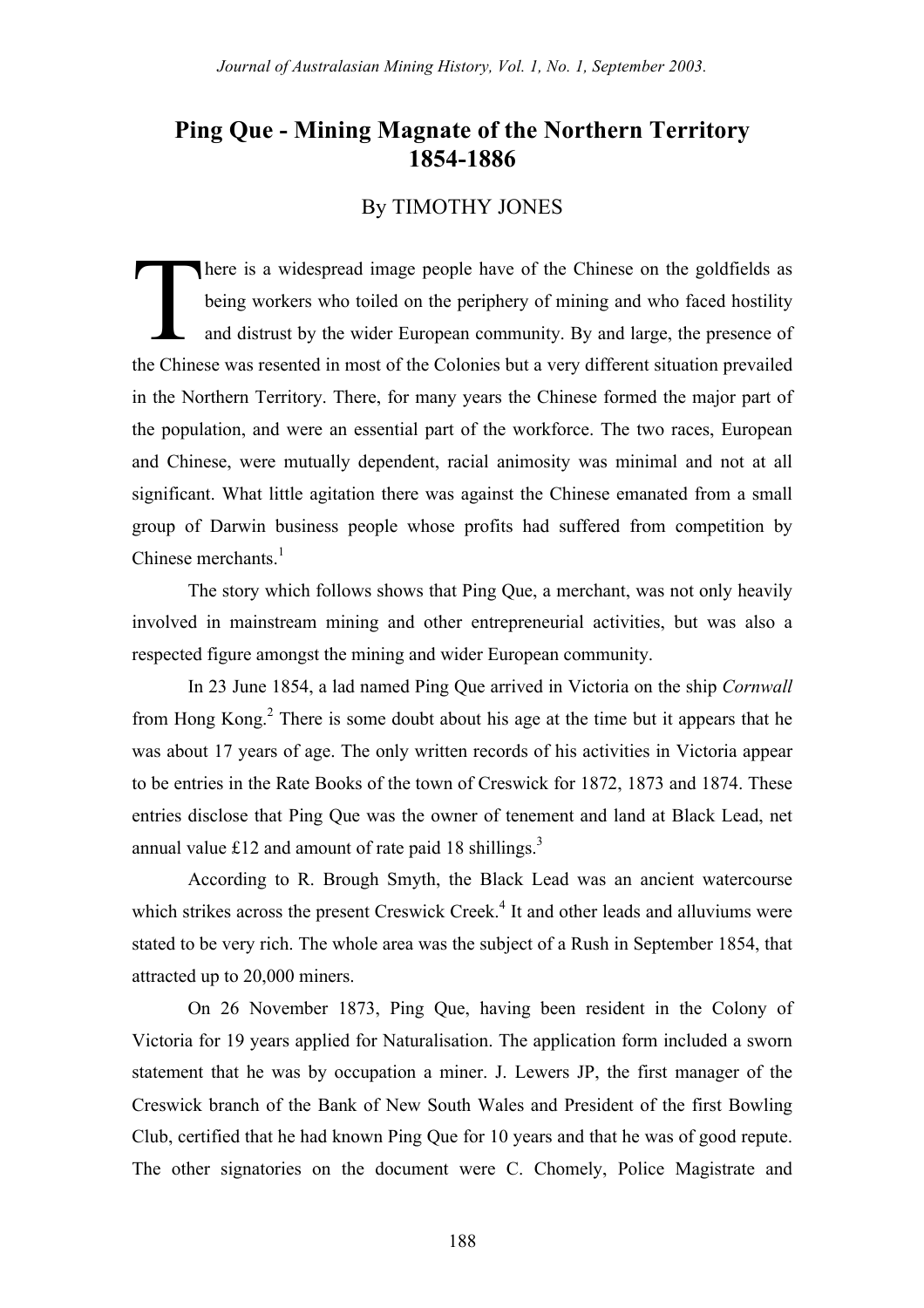# **Ping Que - Mining Magnate of the Northern Territory 1854-1886**

## By TIMOTHY JONES

here is a widespread image people have of the Chinese on the goldfields as being workers who toiled on the periphery of mining and who faced hostility and distrust by the wider European community. By and large, the presence of the Chinese was resented in most of the Colonies but a very different situation prevailed in the Northern Territory. There, for many years the Chinese formed the major part of the population, and were an essential part of the workforce. The two races, European and Chinese, were mutually dependent, racial animosity was minimal and not at all significant. What little agitation there was against the Chinese emanated from a small group of Darwin business people whose profits had suffered from competition by Chinese merchants $1$  $\prod$ 

The story which follows shows that Ping Que, a merchant, was not only heavily involved in mainstream mining and other entrepreneurial activities, but was also a respected figure amongst the mining and wider European community.

In 23 June 1854, a lad named Ping Que arrived in Victoria on the ship *Cornwall*  from Hong Kong.<sup>2</sup> There is some doubt about his age at the time but it appears that he was about 17 years of age. The only written records of his activities in Victoria appear to be entries in the Rate Books of the town of Creswick for 1872, 1873 and 1874. These entries disclose that Ping Que was the owner of tenement and land at Black Lead, net annual value £12 and amount of rate paid 18 shillings.<sup>3</sup>

According to R. Brough Smyth, the Black Lead was an ancient watercourse which strikes across the present Creswick Creek.<sup>4</sup> It and other leads and alluviums were stated to be very rich. The whole area was the subject of a Rush in September 1854, that attracted up to 20,000 miners.

On 26 November 1873, Ping Que, having been resident in the Colony of Victoria for 19 years applied for Naturalisation. The application form included a sworn statement that he was by occupation a miner. J. Lewers JP, the first manager of the Creswick branch of the Bank of New South Wales and President of the first Bowling Club, certified that he had known Ping Que for 10 years and that he was of good repute. The other signatories on the document were C. Chomely, Police Magistrate and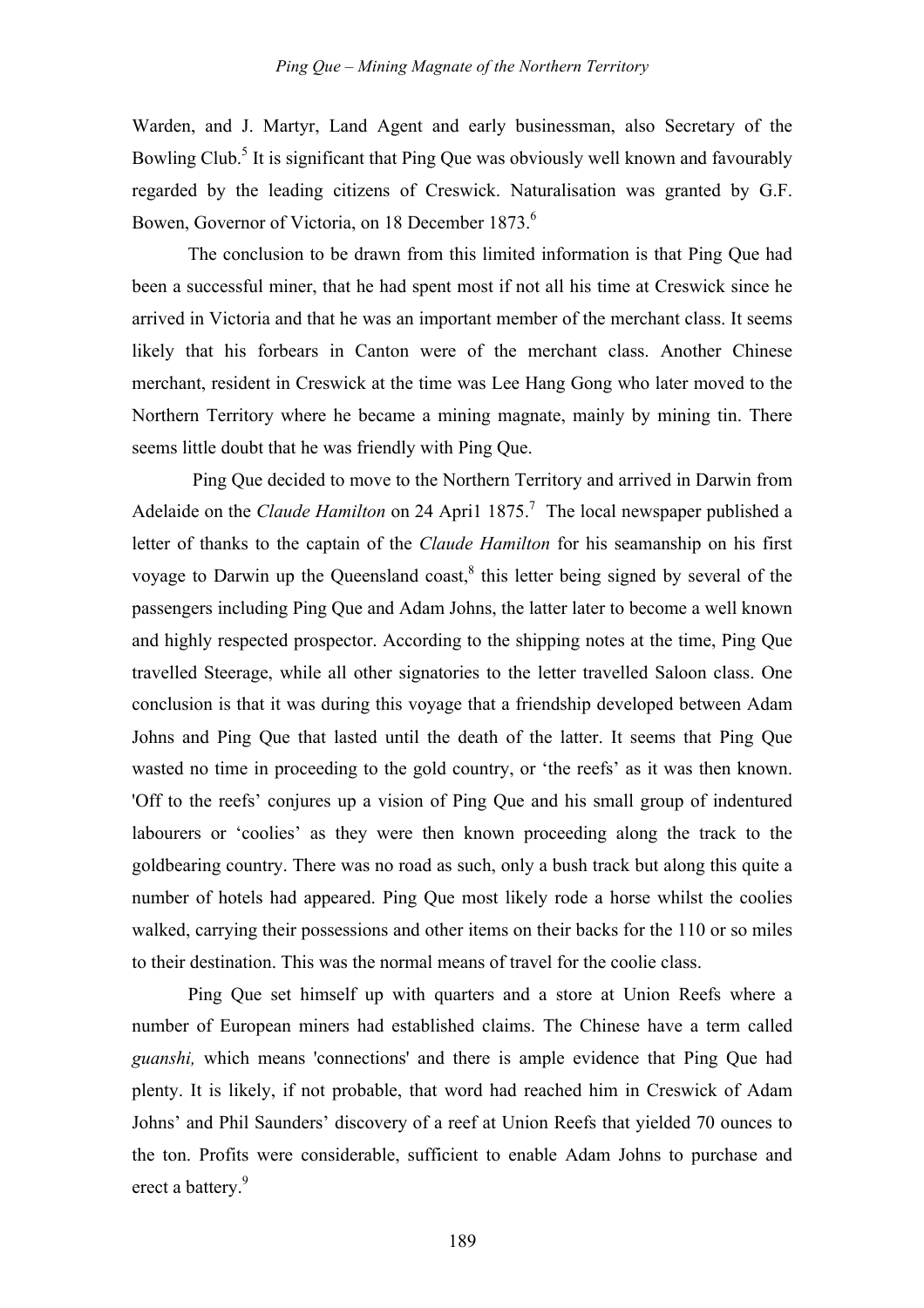Warden, and J. Martyr, Land Agent and early businessman, also Secretary of the Bowling Club.<sup>5</sup> It is significant that Ping Que was obviously well known and favourably regarded by the leading citizens of Creswick. Naturalisation was granted by G.F. Bowen, Governor of Victoria, on 18 December 1873.<sup>6</sup>

The conclusion to be drawn from this limited information is that Ping Que had been a successful miner, that he had spent most if not all his time at Creswick since he arrived in Victoria and that he was an important member of the merchant class. It seems likely that his forbears in Canton were of the merchant class. Another Chinese merchant, resident in Creswick at the time was Lee Hang Gong who later moved to the Northern Territory where he became a mining magnate, mainly by mining tin. There seems little doubt that he was friendly with Ping Que.

 Ping Que decided to move to the Northern Territory and arrived in Darwin from Adelaide on the *Claude Hamilton* on 24 April 1875.<sup>7</sup> The local newspaper published a letter of thanks to the captain of the *Claude Hamilton* for his seamanship on his first voyage to Darwin up the Queensland coast, $\delta$  this letter being signed by several of the passengers including Ping Que and Adam Johns, the latter later to become a well known and highly respected prospector. According to the shipping notes at the time, Ping Que travelled Steerage, while all other signatories to the letter travelled Saloon class. One conclusion is that it was during this voyage that a friendship developed between Adam Johns and Ping Que that lasted until the death of the latter. It seems that Ping Que wasted no time in proceeding to the gold country, or 'the reefs' as it was then known. 'Off to the reefs' conjures up a vision of Ping Que and his small group of indentured labourers or 'coolies' as they were then known proceeding along the track to the goldbearing country. There was no road as such, only a bush track but along this quite a number of hotels had appeared. Ping Que most likely rode a horse whilst the coolies walked, carrying their possessions and other items on their backs for the 110 or so miles to their destination. This was the normal means of travel for the coolie class.

Ping Que set himself up with quarters and a store at Union Reefs where a number of European miners had established claims. The Chinese have a term called *guanshi,* which means 'connections' and there is ample evidence that Ping Que had plenty. It is likely, if not probable, that word had reached him in Creswick of Adam Johns' and Phil Saunders' discovery of a reef at Union Reefs that yielded 70 ounces to the ton. Profits were considerable, sufficient to enable Adam Johns to purchase and erect a battery.<sup>9</sup>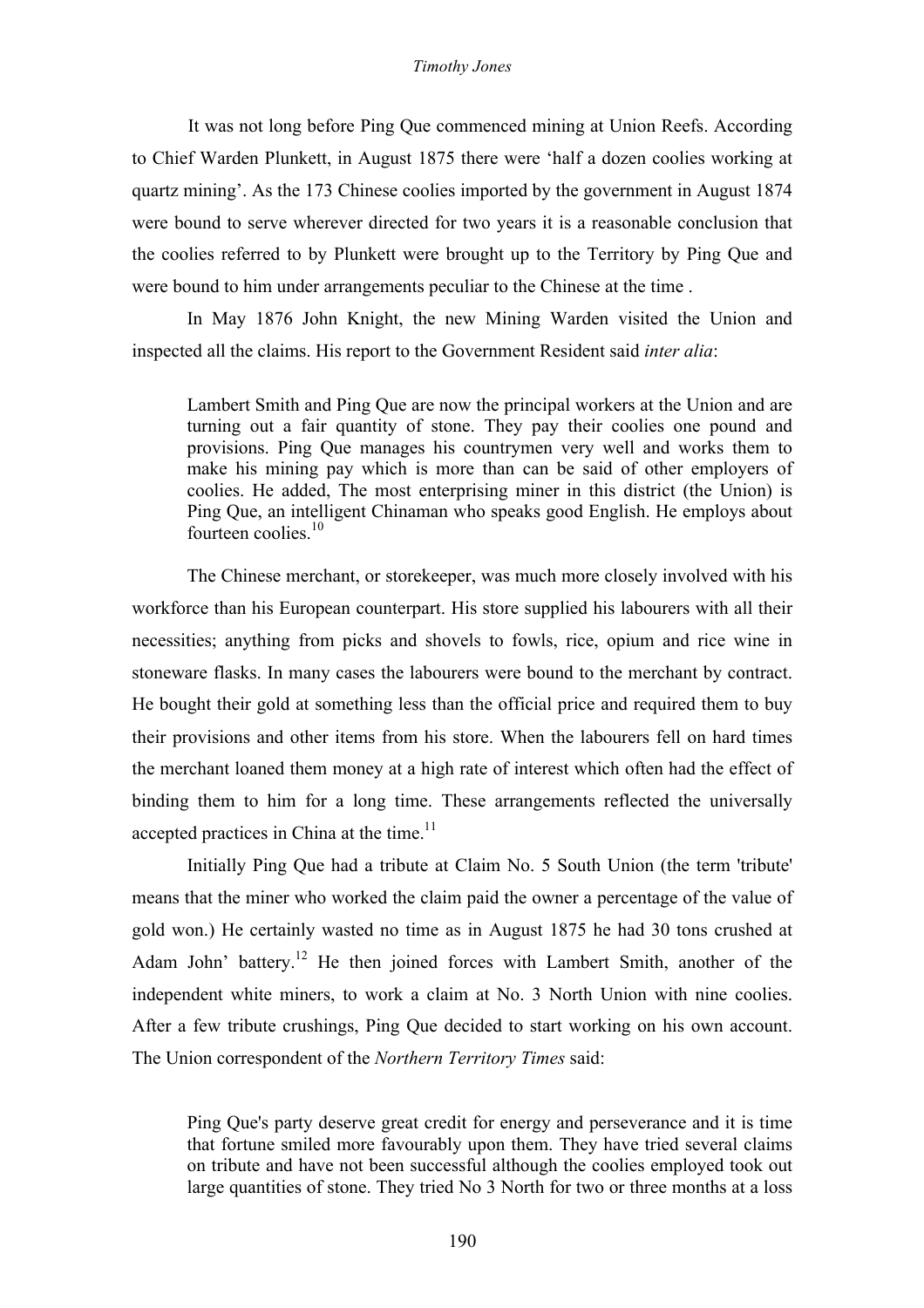#### *Timothy Jones*

It was not long before Ping Que commenced mining at Union Reefs. According to Chief Warden Plunkett, in August 1875 there were 'half a dozen coolies working at quartz mining'. As the 173 Chinese coolies imported by the government in August 1874 were bound to serve wherever directed for two years it is a reasonable conclusion that the coolies referred to by Plunkett were brought up to the Territory by Ping Que and were bound to him under arrangements peculiar to the Chinese at the time .

In May 1876 John Knight, the new Mining Warden visited the Union and inspected all the claims. His report to the Government Resident said *inter alia*:

Lambert Smith and Ping Que are now the principal workers at the Union and are turning out a fair quantity of stone. They pay their coolies one pound and provisions. Ping Que manages his countrymen very well and works them to make his mining pay which is more than can be said of other employers of coolies. He added, The most enterprising miner in this district (the Union) is Ping Que, an intelligent Chinaman who speaks good English. He employs about fourteen coolies.<sup>10</sup>

The Chinese merchant, or storekeeper, was much more closely involved with his workforce than his European counterpart. His store supplied his labourers with all their necessities; anything from picks and shovels to fowls, rice, opium and rice wine in stoneware flasks. In many cases the labourers were bound to the merchant by contract. He bought their gold at something less than the official price and required them to buy their provisions and other items from his store. When the labourers fell on hard times the merchant loaned them money at a high rate of interest which often had the effect of binding them to him for a long time. These arrangements reflected the universally accepted practices in China at the time. $11$ 

Initially Ping Que had a tribute at Claim No. 5 South Union (the term 'tribute' means that the miner who worked the claim paid the owner a percentage of the value of gold won.) He certainly wasted no time as in August 1875 he had 30 tons crushed at Adam John' battery.<sup>12</sup> He then joined forces with Lambert Smith, another of the independent white miners, to work a claim at No. 3 North Union with nine coolies. After a few tribute crushings, Ping Que decided to start working on his own account. The Union correspondent of the *Northern Territory Times* said:

Ping Que's party deserve great credit for energy and perseverance and it is time that fortune smiled more favourably upon them. They have tried several claims on tribute and have not been successful although the coolies employed took out large quantities of stone. They tried No 3 North for two or three months at a loss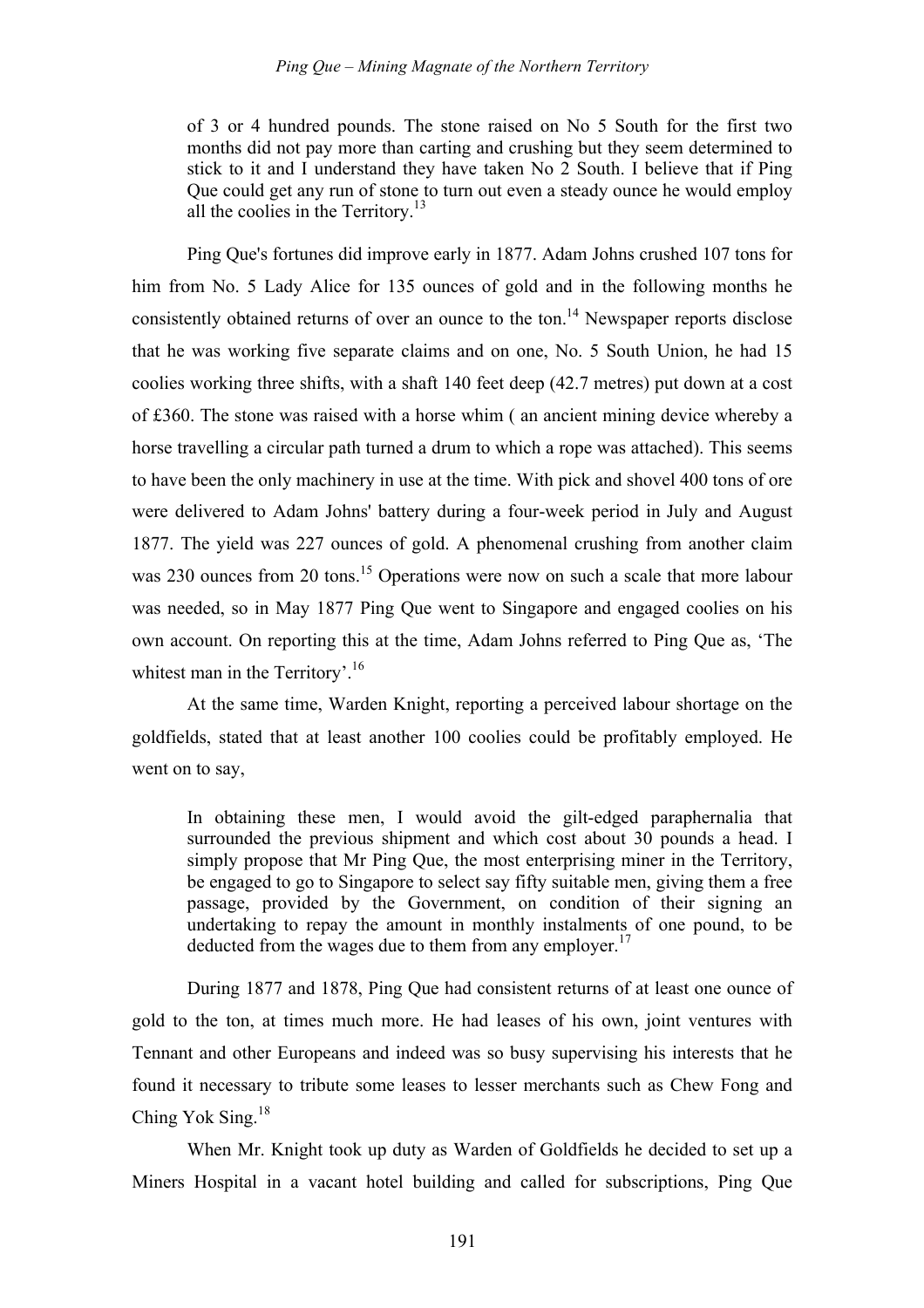of 3 or 4 hundred pounds. The stone raised on No 5 South for the first two months did not pay more than carting and crushing but they seem determined to stick to it and I understand they have taken No 2 South. I believe that if Ping Que could get any run of stone to turn out even a steady ounce he would employ all the coolies in the Territory.<sup>13</sup>

Ping Que's fortunes did improve early in 1877. Adam Johns crushed 107 tons for him from No. 5 Lady Alice for 135 ounces of gold and in the following months he consistently obtained returns of over an ounce to the ton.<sup>14</sup> Newspaper reports disclose that he was working five separate claims and on one, No. 5 South Union, he had 15 coolies working three shifts, with a shaft 140 feet deep (42.7 metres) put down at a cost of £360. The stone was raised with a horse whim ( an ancient mining device whereby a horse travelling a circular path turned a drum to which a rope was attached). This seems to have been the only machinery in use at the time. With pick and shovel 400 tons of ore were delivered to Adam Johns' battery during a four-week period in July and August 1877. The yield was 227 ounces of gold. A phenomenal crushing from another claim was 230 ounces from 20 tons.<sup>15</sup> Operations were now on such a scale that more labour was needed, so in May 1877 Ping Que went to Singapore and engaged coolies on his own account. On reporting this at the time, Adam Johns referred to Ping Que as, 'The whitest man in the Territory'.<sup>16</sup>

At the same time, Warden Knight, reporting a perceived labour shortage on the goldfields, stated that at least another 100 coolies could be profitably employed. He went on to say,

In obtaining these men, I would avoid the gilt-edged paraphernalia that surrounded the previous shipment and which cost about 30 pounds a head. I simply propose that Mr Ping Que, the most enterprising miner in the Territory, be engaged to go to Singapore to select say fifty suitable men, giving them a free passage, provided by the Government, on condition of their signing an undertaking to repay the amount in monthly instalments of one pound, to be deducted from the wages due to them from any employer.<sup>17</sup>

During 1877 and 1878, Ping Que had consistent returns of at least one ounce of gold to the ton, at times much more. He had leases of his own, joint ventures with Tennant and other Europeans and indeed was so busy supervising his interests that he found it necessary to tribute some leases to lesser merchants such as Chew Fong and Ching Yok Sing.<sup>18</sup>

When Mr. Knight took up duty as Warden of Goldfields he decided to set up a Miners Hospital in a vacant hotel building and called for subscriptions, Ping Que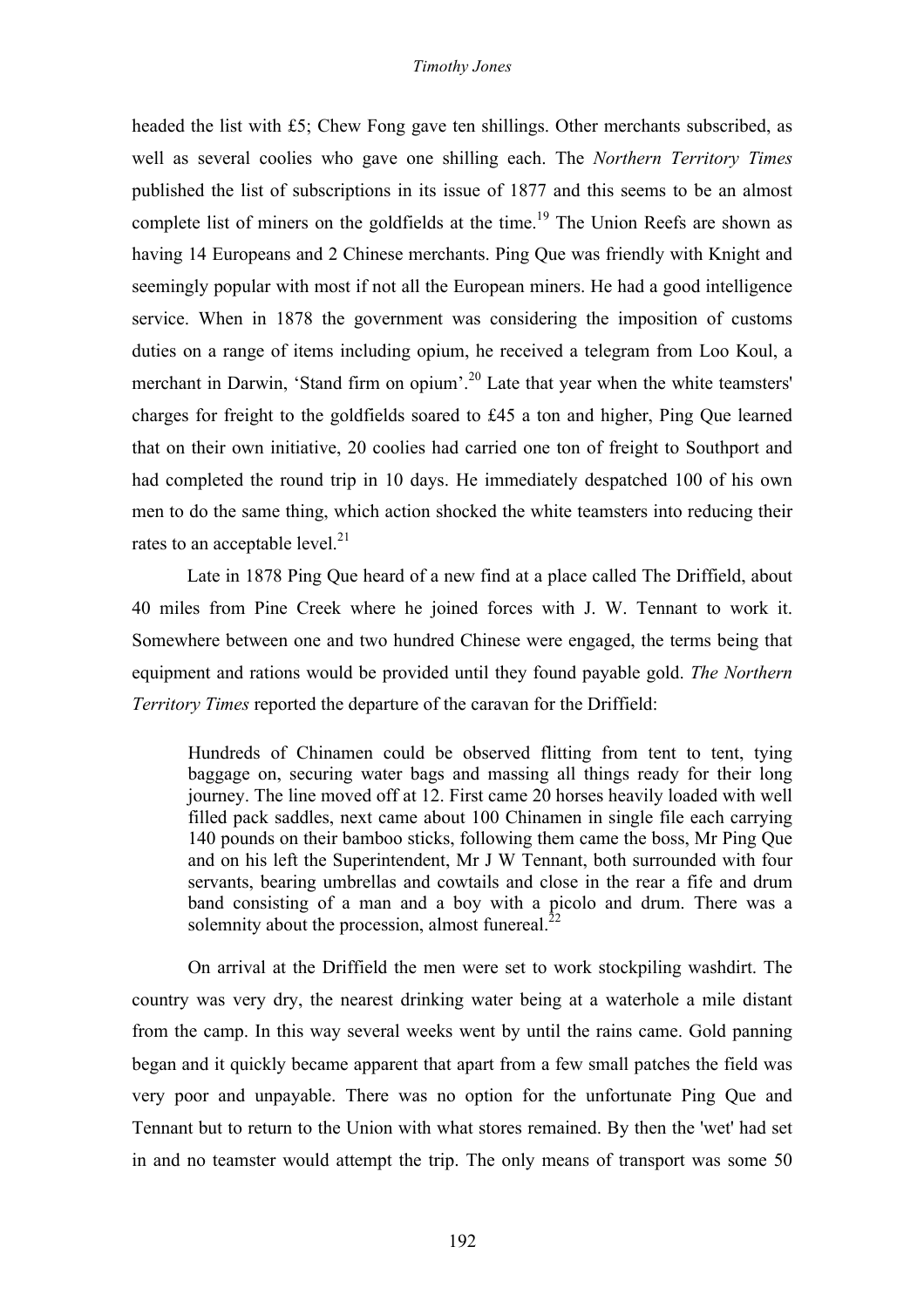headed the list with £5; Chew Fong gave ten shillings. Other merchants subscribed, as well as several coolies who gave one shilling each. The *Northern Territory Times*  published the list of subscriptions in its issue of 1877 and this seems to be an almost complete list of miners on the goldfields at the time.<sup>19</sup> The Union Reefs are shown as having 14 Europeans and 2 Chinese merchants. Ping Que was friendly with Knight and seemingly popular with most if not all the European miners. He had a good intelligence service. When in 1878 the government was considering the imposition of customs duties on a range of items including opium, he received a telegram from Loo Koul, a merchant in Darwin, 'Stand firm on opium'.<sup>20</sup> Late that year when the white teamsters' charges for freight to the goldfields soared to £45 a ton and higher, Ping Que learned that on their own initiative, 20 coolies had carried one ton of freight to Southport and had completed the round trip in 10 days. He immediately despatched 100 of his own men to do the same thing, which action shocked the white teamsters into reducing their rates to an acceptable level. $^{21}$ 

Late in 1878 Ping Que heard of a new find at a place called The Driffield, about 40 miles from Pine Creek where he joined forces with J. W. Tennant to work it. Somewhere between one and two hundred Chinese were engaged, the terms being that equipment and rations would be provided until they found payable gold. *The Northern Territory Times* reported the departure of the caravan for the Driffield:

Hundreds of Chinamen could be observed flitting from tent to tent, tying baggage on, securing water bags and massing all things ready for their long journey. The line moved off at 12. First came 20 horses heavily loaded with well filled pack saddles, next came about 100 Chinamen in single file each carrying 140 pounds on their bamboo sticks, following them came the boss, Mr Ping Que and on his left the Superintendent, Mr J W Tennant, both surrounded with four servants, bearing umbrellas and cowtails and close in the rear a fife and drum band consisting of a man and a boy with a picolo and drum. There was a solemnity about the procession, almost funereal. $^{22}$ 

On arrival at the Driffield the men were set to work stockpiling washdirt. The country was very dry, the nearest drinking water being at a waterhole a mile distant from the camp. In this way several weeks went by until the rains came. Gold panning began and it quickly became apparent that apart from a few small patches the field was very poor and unpayable. There was no option for the unfortunate Ping Que and Tennant but to return to the Union with what stores remained. By then the 'wet' had set in and no teamster would attempt the trip. The only means of transport was some 50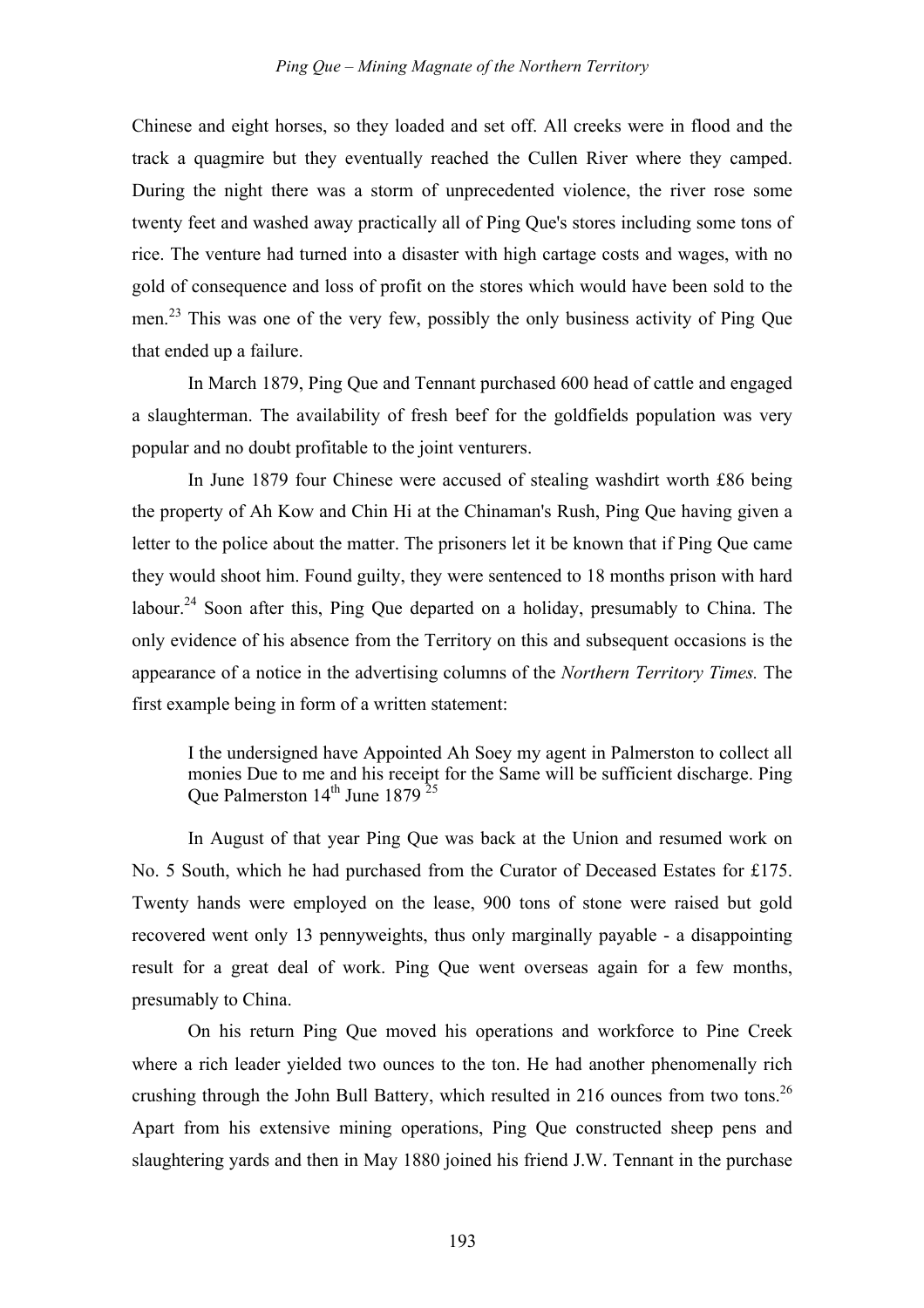Chinese and eight horses, so they loaded and set off. All creeks were in flood and the track a quagmire but they eventually reached the Cullen River where they camped. During the night there was a storm of unprecedented violence, the river rose some twenty feet and washed away practically all of Ping Que's stores including some tons of rice. The venture had turned into a disaster with high cartage costs and wages, with no gold of consequence and loss of profit on the stores which would have been sold to the men.<sup>23</sup> This was one of the very few, possibly the only business activity of Ping Que that ended up a failure.

In March 1879, Ping Que and Tennant purchased 600 head of cattle and engaged a slaughterman. The availability of fresh beef for the goldfields population was very popular and no doubt profitable to the joint venturers.

In June 1879 four Chinese were accused of stealing washdirt worth £86 being the property of Ah Kow and Chin Hi at the Chinaman's Rush, Ping Que having given a letter to the police about the matter. The prisoners let it be known that if Ping Que came they would shoot him. Found guilty, they were sentenced to 18 months prison with hard labour.<sup>24</sup> Soon after this, Ping Que departed on a holiday, presumably to China. The only evidence of his absence from the Territory on this and subsequent occasions is the appearance of a notice in the advertising columns of the *Northern Territory Times.* The first example being in form of a written statement:

I the undersigned have Appointed Ah Soey my agent in Palmerston to collect all monies Due to me and his receipt for the Same will be sufficient discharge. Ping Que Palmerston 14<sup>th</sup> June 1879<sup>25</sup>

In August of that year Ping Que was back at the Union and resumed work on No. 5 South, which he had purchased from the Curator of Deceased Estates for £175. Twenty hands were employed on the lease, 900 tons of stone were raised but gold recovered went only 13 pennyweights, thus only marginally payable - a disappointing result for a great deal of work. Ping Que went overseas again for a few months, presumably to China.

On his return Ping Que moved his operations and workforce to Pine Creek where a rich leader yielded two ounces to the ton. He had another phenomenally rich crushing through the John Bull Battery, which resulted in 216 ounces from two tons.<sup>26</sup> Apart from his extensive mining operations, Ping Que constructed sheep pens and slaughtering yards and then in May 1880 joined his friend J.W. Tennant in the purchase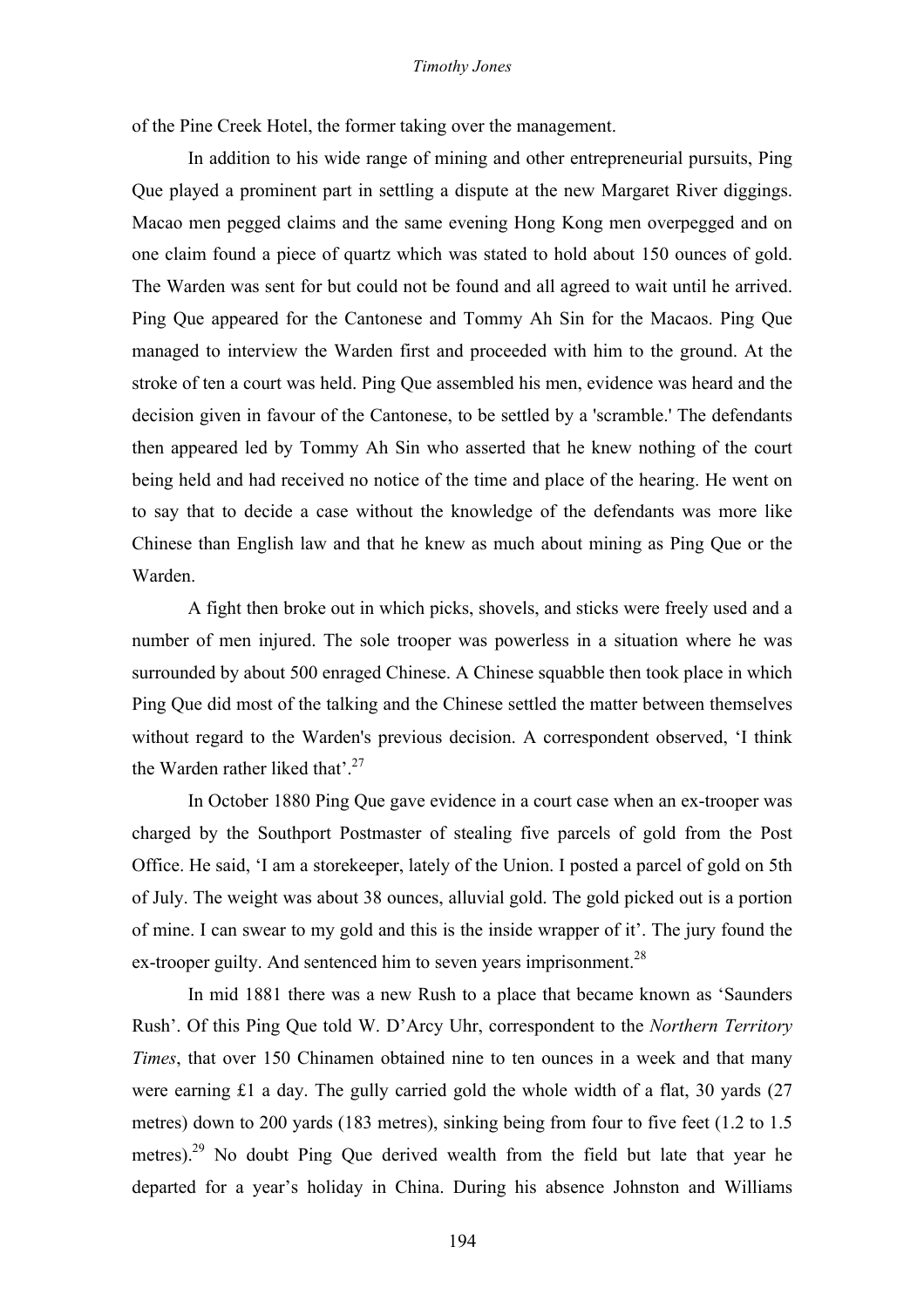#### *Timothy Jones*

of the Pine Creek Hotel, the former taking over the management.

In addition to his wide range of mining and other entrepreneurial pursuits, Ping Que played a prominent part in settling a dispute at the new Margaret River diggings. Macao men pegged claims and the same evening Hong Kong men overpegged and on one claim found a piece of quartz which was stated to hold about 150 ounces of gold. The Warden was sent for but could not be found and all agreed to wait until he arrived. Ping Que appeared for the Cantonese and Tommy Ah Sin for the Macaos. Ping Que managed to interview the Warden first and proceeded with him to the ground. At the stroke of ten a court was held. Ping Que assembled his men, evidence was heard and the decision given in favour of the Cantonese, to be settled by a 'scramble.' The defendants then appeared led by Tommy Ah Sin who asserted that he knew nothing of the court being held and had received no notice of the time and place of the hearing. He went on to say that to decide a case without the knowledge of the defendants was more like Chinese than English law and that he knew as much about mining as Ping Que or the Warden.

A fight then broke out in which picks, shovels, and sticks were freely used and a number of men injured. The sole trooper was powerless in a situation where he was surrounded by about 500 enraged Chinese. A Chinese squabble then took place in which Ping Que did most of the talking and the Chinese settled the matter between themselves without regard to the Warden's previous decision. A correspondent observed, 'I think the Warden rather liked that'.<sup>27</sup>

In October 1880 Ping Que gave evidence in a court case when an ex-trooper was charged by the Southport Postmaster of stealing five parcels of gold from the Post Office. He said, 'I am a storekeeper, lately of the Union. I posted a parcel of gold on 5th of July. The weight was about 38 ounces, alluvial gold. The gold picked out is a portion of mine. I can swear to my gold and this is the inside wrapper of it'. The jury found the ex-trooper guilty. And sentenced him to seven years imprisonment.<sup>28</sup>

In mid 1881 there was a new Rush to a place that became known as 'Saunders Rush'. Of this Ping Que told W. D'Arcy Uhr, correspondent to the *Northern Territory Times*, that over 150 Chinamen obtained nine to ten ounces in a week and that many were earning £1 a day. The gully carried gold the whole width of a flat, 30 yards (27 metres) down to 200 yards (183 metres), sinking being from four to five feet (1.2 to 1.5 metres).<sup>29</sup> No doubt Ping Que derived wealth from the field but late that year he departed for a year's holiday in China. During his absence Johnston and Williams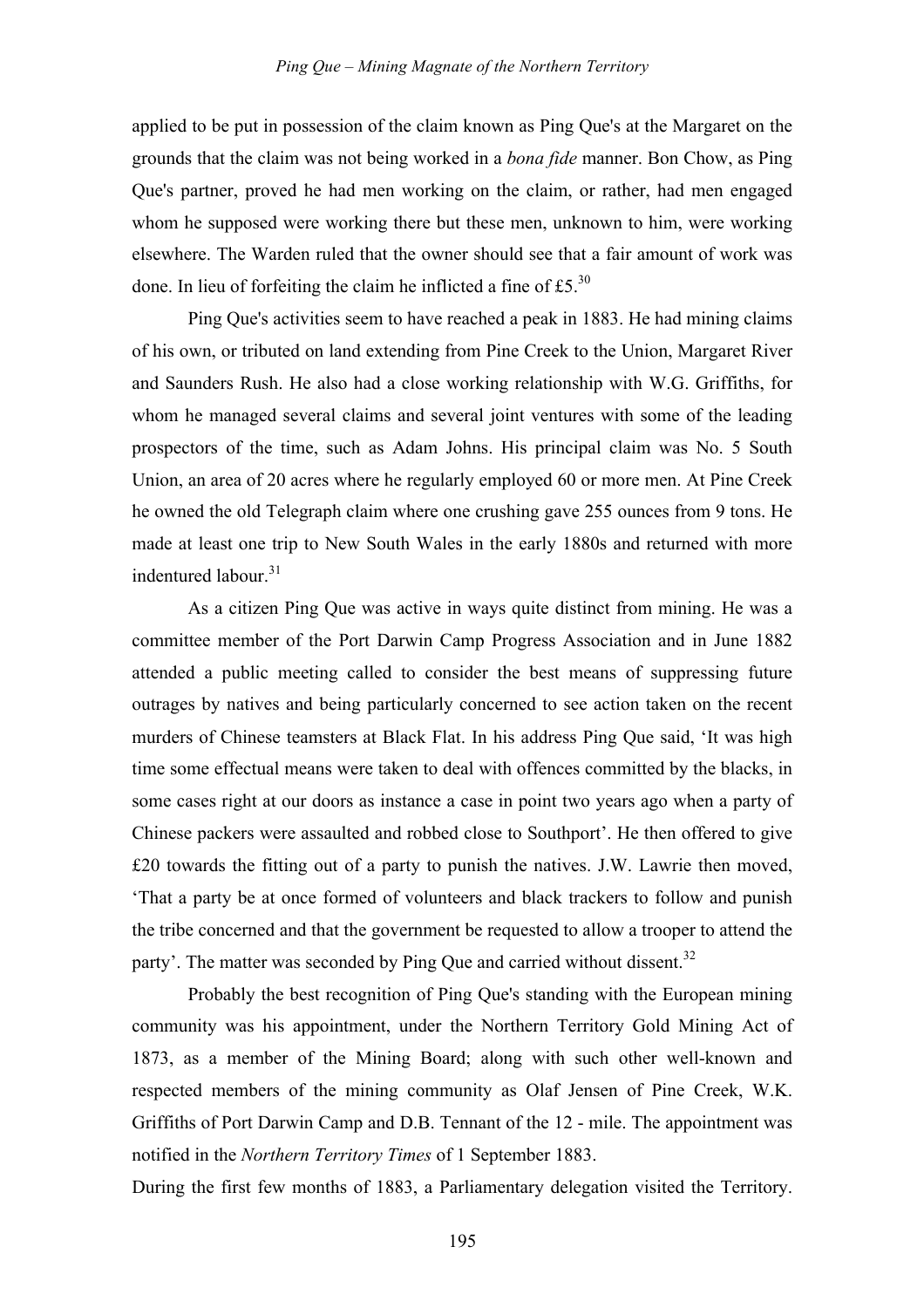applied to be put in possession of the claim known as Ping Que's at the Margaret on the grounds that the claim was not being worked in a *bona fide* manner. Bon Chow, as Ping Que's partner, proved he had men working on the claim, or rather, had men engaged whom he supposed were working there but these men, unknown to him, were working elsewhere. The Warden ruled that the owner should see that a fair amount of work was done. In lieu of forfeiting the claim he inflicted a fine of  $£5^{30}$ 

Ping Que's activities seem to have reached a peak in 1883. He had mining claims of his own, or tributed on land extending from Pine Creek to the Union, Margaret River and Saunders Rush. He also had a close working relationship with W.G. Griffiths, for whom he managed several claims and several joint ventures with some of the leading prospectors of the time, such as Adam Johns. His principal claim was No. 5 South Union, an area of 20 acres where he regularly employed 60 or more men. At Pine Creek he owned the old Telegraph claim where one crushing gave 255 ounces from 9 tons. He made at least one trip to New South Wales in the early 1880s and returned with more indentured labour  $31$ 

As a citizen Ping Que was active in ways quite distinct from mining. He was a committee member of the Port Darwin Camp Progress Association and in June 1882 attended a public meeting called to consider the best means of suppressing future outrages by natives and being particularly concerned to see action taken on the recent murders of Chinese teamsters at Black Flat. In his address Ping Que said, 'It was high time some effectual means were taken to deal with offences committed by the blacks, in some cases right at our doors as instance a case in point two years ago when a party of Chinese packers were assaulted and robbed close to Southport'. He then offered to give £20 towards the fitting out of a party to punish the natives. J.W. Lawrie then moved, 'That a party be at once formed of volunteers and black trackers to follow and punish the tribe concerned and that the government be requested to allow a trooper to attend the party'. The matter was seconded by Ping Que and carried without dissent.<sup>32</sup>

Probably the best recognition of Ping Que's standing with the European mining community was his appointment, under the Northern Territory Gold Mining Act of 1873, as a member of the Mining Board; along with such other well-known and respected members of the mining community as Olaf Jensen of Pine Creek, W.K. Griffiths of Port Darwin Camp and D.B. Tennant of the 12 - mile. The appointment was notified in the *Northern Territory Times* of 1 September 1883.

During the first few months of 1883, a Parliamentary delegation visited the Territory.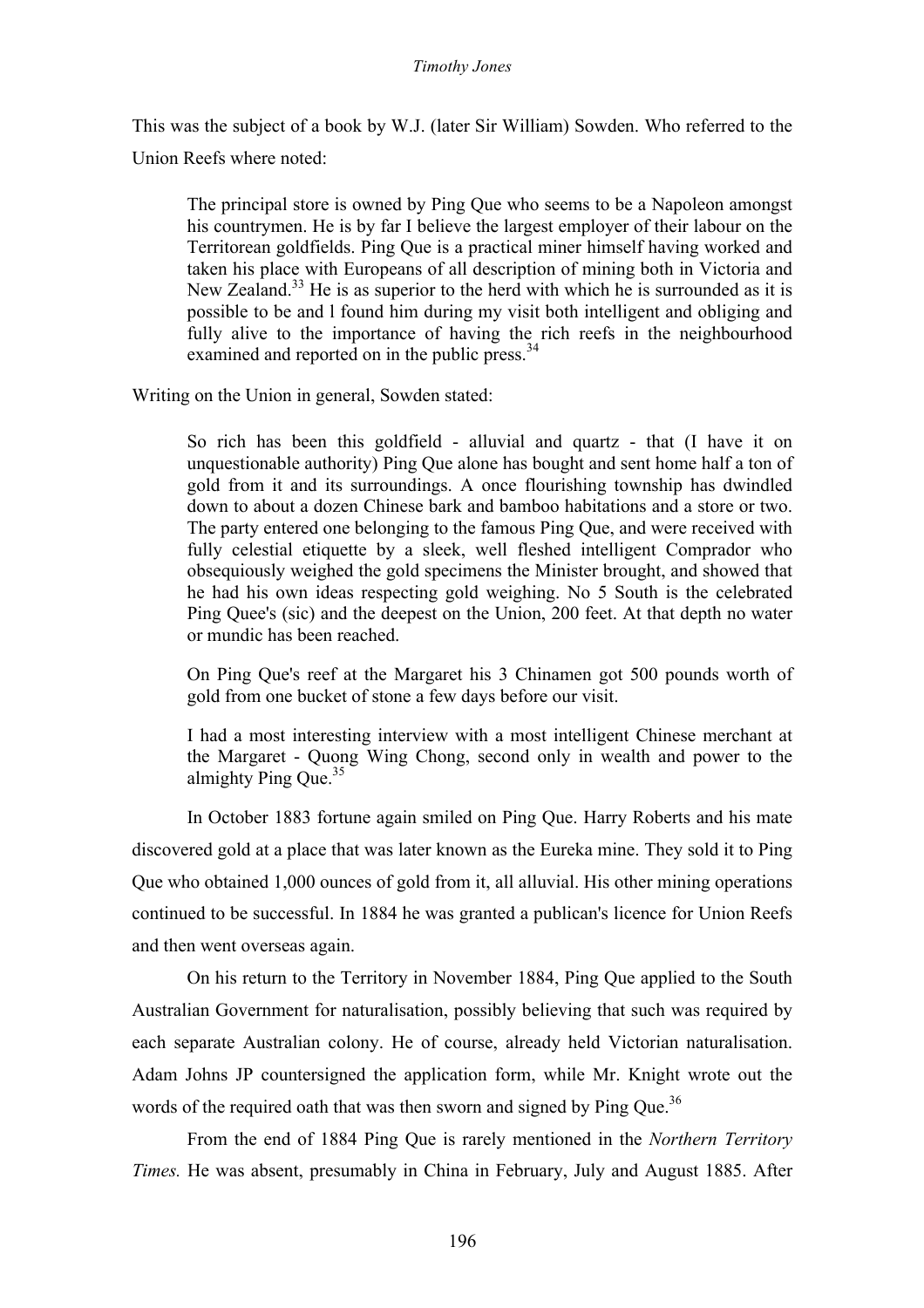#### *Timothy Jones*

This was the subject of a book by W.J. (later Sir William) Sowden. Who referred to the Union Reefs where noted:

The principal store is owned by Ping Que who seems to be a Napoleon amongst his countrymen. He is by far I believe the largest employer of their labour on the Territorean goldfields. Ping Que is a practical miner himself having worked and taken his place with Europeans of all description of mining both in Victoria and New Zealand.<sup>33</sup> He is as superior to the herd with which he is surrounded as it is possible to be and l found him during my visit both intelligent and obliging and fully alive to the importance of having the rich reefs in the neighbourhood examined and reported on in the public press.<sup>34</sup>

Writing on the Union in general, Sowden stated:

So rich has been this goldfield - alluvial and quartz - that (I have it on unquestionable authority) Ping Que alone has bought and sent home half a ton of gold from it and its surroundings. A once flourishing township has dwindled down to about a dozen Chinese bark and bamboo habitations and a store or two. The party entered one belonging to the famous Ping Que, and were received with fully celestial etiquette by a sleek, well fleshed intelligent Comprador who obsequiously weighed the gold specimens the Minister brought, and showed that he had his own ideas respecting gold weighing. No 5 South is the celebrated Ping Quee's (sic) and the deepest on the Union, 200 feet. At that depth no water or mundic has been reached.

On Ping Que's reef at the Margaret his 3 Chinamen got 500 pounds worth of gold from one bucket of stone a few days before our visit.

I had a most interesting interview with a most intelligent Chinese merchant at the Margaret - Quong Wing Chong, second only in wealth and power to the almighty Ping Que.<sup>35</sup>

In October 1883 fortune again smiled on Ping Que. Harry Roberts and his mate discovered gold at a place that was later known as the Eureka mine. They sold it to Ping Que who obtained 1,000 ounces of gold from it, all alluvial. His other mining operations continued to be successful. In 1884 he was granted a publican's licence for Union Reefs and then went overseas again.

On his return to the Territory in November 1884, Ping Que applied to the South Australian Government for naturalisation, possibly believing that such was required by each separate Australian colony. He of course, already held Victorian naturalisation. Adam Johns JP countersigned the application form, while Mr. Knight wrote out the words of the required oath that was then sworn and signed by Ping Que.<sup>36</sup>

From the end of 1884 Ping Que is rarely mentioned in the *Northern Territory Times.* He was absent, presumably in China in February, July and August 1885. After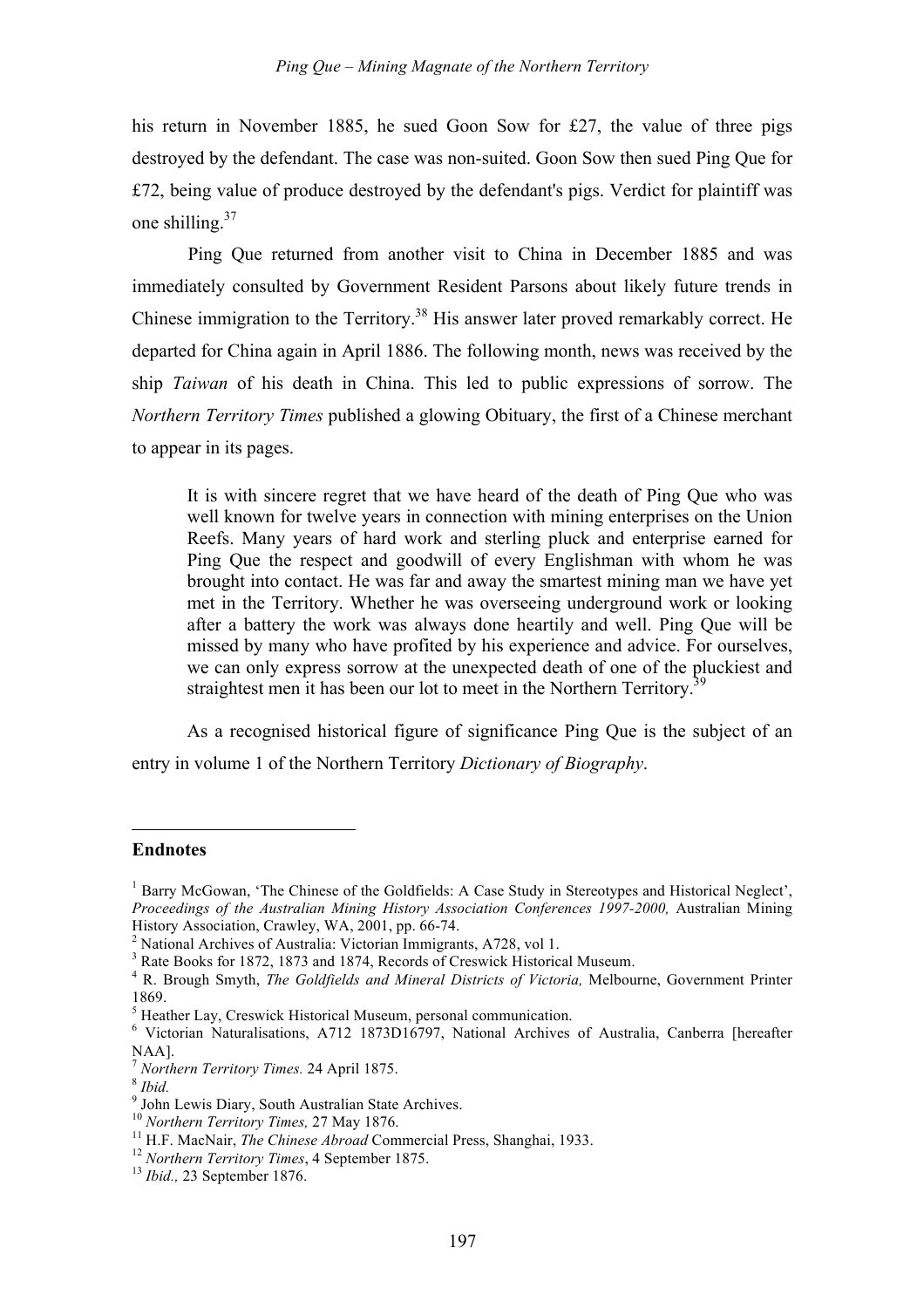his return in November 1885, he sued Goon Sow for £27, the value of three pigs destroyed by the defendant. The case was non-suited. Goon Sow then sued Ping Que for £72, being value of produce destroyed by the defendant's pigs. Verdict for plaintiff was one shilling.37

Ping Que returned from another visit to China in December 1885 and was immediately consulted by Government Resident Parsons about likely future trends in Chinese immigration to the Territory.<sup>38</sup> His answer later proved remarkably correct. He departed for China again in April 1886. The following month, news was received by the ship *Taiwan* of his death in China. This led to public expressions of sorrow. The *Northern Territory Times* published a glowing Obituary, the first of a Chinese merchant to appear in its pages.

It is with sincere regret that we have heard of the death of Ping Que who was well known for twelve years in connection with mining enterprises on the Union Reefs. Many years of hard work and sterling pluck and enterprise earned for Ping Que the respect and goodwill of every Englishman with whom he was brought into contact. He was far and away the smartest mining man we have yet met in the Territory. Whether he was overseeing underground work or looking after a battery the work was always done heartily and well. Ping Que will be missed by many who have profited by his experience and advice. For ourselves, we can only express sorrow at the unexpected death of one of the pluckiest and straightest men it has been our lot to meet in the Northern Territory.<sup>39</sup>

As a recognised historical figure of significance Ping Que is the subject of an entry in volume 1 of the Northern Territory *Dictionary of Biography*.

### **Endnotes**

 $\overline{a}$ 

<sup>&</sup>lt;sup>1</sup> Barry McGowan, 'The Chinese of the Goldfields: A Case Study in Stereotypes and Historical Neglect', *Proceedings of the Australian Mining History Association Conferences 1997-2000,* Australian Mining

<sup>&</sup>lt;sup>2</sup> National Archives of Australia: Victorian Immigrants, A728, vol 1.<br><sup>3</sup> Rate Books for 1872, 1873 and 1874, Records of Creswick Historical Museum.<br><sup>4</sup> R. Brough Smyth. *The Goldfields and Mineral Districts of Victoria* 

<sup>1869.&</sup>lt;br><sup>5</sup> Heather Lay, Creswick Historical Museum, personal communication.<br><sup>6</sup> Victorian Naturalisations, A712 1873D16797, National Archives of Australia, Canberra [hereafter NAA].<br>
<sup>7</sup> Northern Territory Times. 24 April 1875.<br>
<sup>8</sup> Ibid.<br>
<sup>9</sup> John Lewis Diary, South Australian State Archives.<br>
<sup>10</sup> Northern Territory Times, 27 May 1876.<br>
<sup>11</sup> H.F. MacNair, *The Chinese Abroad* Commercial Press,